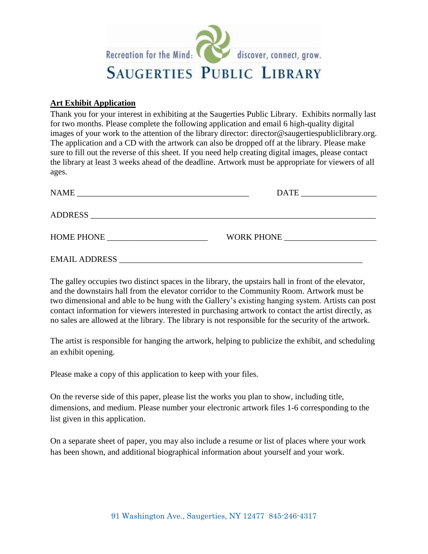

## **Art Exhibit Application**

Thank you for your interest in exhibiting at the Saugerties Public Library. Exhibits normally last for two months. Please complete the following application and email 6 high-quality digital images of your work to the attention of the library director: [director@saugertiespubliclibrary.org.](mailto:director@saugertiespubliclibrary.org) The application and a CD with the artwork can also be dropped off at the library. Please make sure to fill out the reverse of this sheet. If you need help creating digital images, please contact the library at least 3 weeks ahead of the deadline. Artwork must be appropriate for viewers of all ages.

| NAME<br><u> 1989 - Johann Barn, mars ann an t-Amhain an t-Amhain ann an t-Amhain an t-Amhain an t-Amhain an t-Amhain an t-</u>                                                                                                 |            |
|--------------------------------------------------------------------------------------------------------------------------------------------------------------------------------------------------------------------------------|------------|
|                                                                                                                                                                                                                                |            |
|                                                                                                                                                                                                                                |            |
| HOME PHONE THE STATE OF THE STATE OF THE STATE OF THE STATE OF THE STATE OF THE STATE OF THE STATE OF THE STATE OF THE STATE OF THE STATE OF THE STATE OF THE STATE OF THE STATE OF THE STATE OF THE STATE OF THE STATE OF THE | WORK PHONE |
|                                                                                                                                                                                                                                |            |
| <b>EMAIL ADDRESS</b>                                                                                                                                                                                                           |            |

The galley occupies two distinct spaces in the library, the upstairs hall in front of the elevator, and the downstairs hall from the elevator corridor to the Community Room. Artwork must be two dimensional and able to be hung with the Gallery's existing hanging system. Artists can post contact information for viewers interested in purchasing artwork to contact the artist directly, as no sales are allowed at the library. The library is not responsible for the security of the artwork.

The artist is responsible for hanging the artwork, helping to publicize the exhibit, and scheduling an exhibit opening.

Please make a copy of this application to keep with your files.

On the reverse side of this paper, please list the works you plan to show, including title, dimensions, and medium. Please number your electronic artwork files 1-6 corresponding to the list given in this application.

On a separate sheet of paper, you may also include a resume or list of places where your work has been shown, and additional biographical information about yourself and your work.